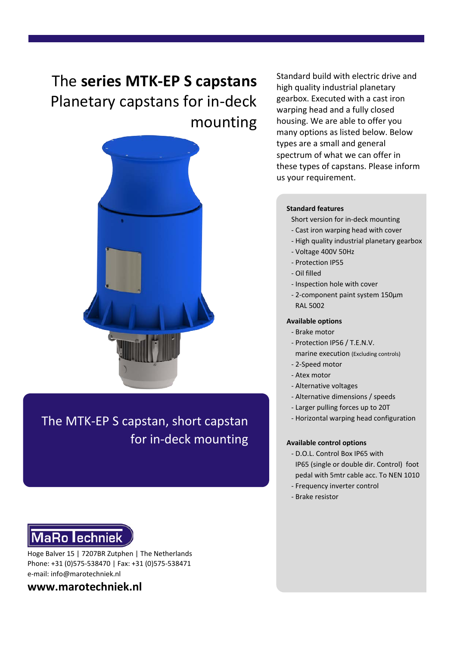# The **series MTK-EP S capstans** Planetary capstans for in-deck mounting



The MTK-EP S capstan, short capstan for in-deck mounting



Hoge Balver 15 | 7207BR Zutphen | The Netherlands Phone: +31 (0)575-538470 | Fax: +31 (0)575-538471 e-mail: info@marotechniek.nl

**www.marotechniek.nl**

Standard build with electric drive and high quality industrial planetary gearbox. Executed with a cast iron warping head and a fully closed housing. We are able to offer you many options as listed below. Below types are a small and general spectrum of what we can offer in these types of capstans. Please inform us your requirement.

#### **Standard features**

Short version for in-deck mounting

- Cast iron warping head with cover
- High quality industrial planetary gearbox
- Voltage 400V 50Hz
- Protection IP55
- Oil filled
- Inspection hole with cover
- 2-component paint system 150μm RAL 5002

#### **Available options**

- Brake motor
- Protection IP56 / T.E.N.V.
- marine execution (Excluding controls)
- 2-Speed motor
- Atex motor
- Alternative voltages
- Alternative dimensions / speeds
- Larger pulling forces up to 20T
- Horizontal warping head configuration

#### **Available control options**

- D.O.L. Control Box IP65 with IP65 (single or double dir. Control) foot pedal with 5mtr cable acc. To NEN 1010
- Frequency inverter control
- Brake resistor